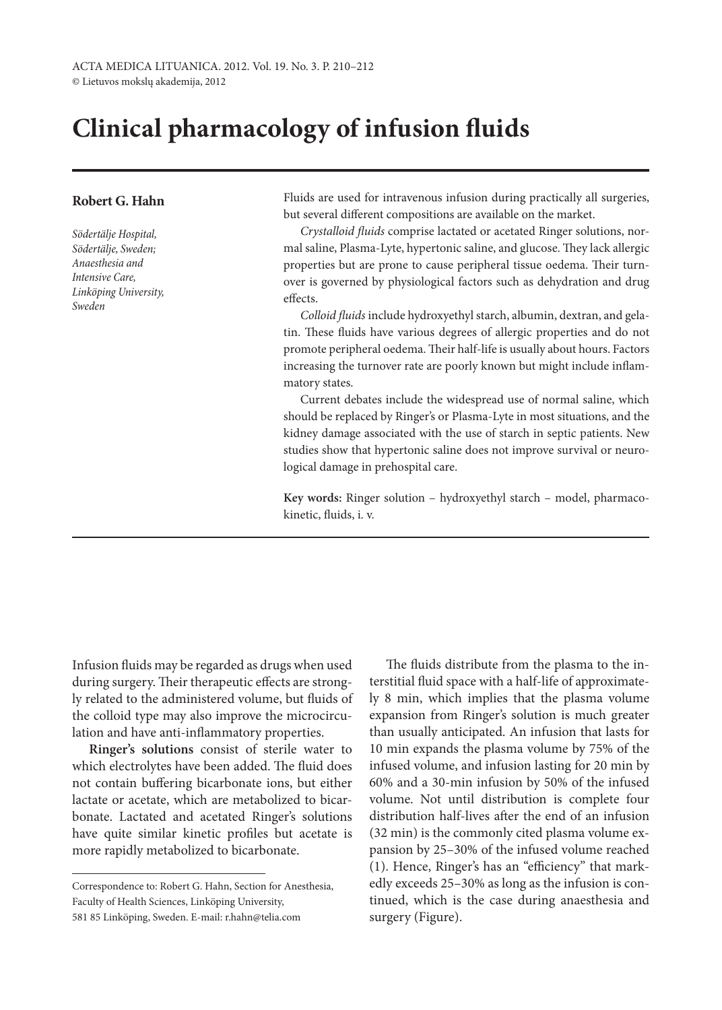# **Clinical pharmacology of infusion fluids**

## **Robert G. Hahn**

*Södertälje Hospital, Södertälje, Sweden; Anaesthesia and Intensive Care, Linköping University, Sweden*

Fluids are used for intravenous infusion during practically all surgeries, but several different compositions are available on the market.

*Crystalloid fluids* comprise lactated or acetated Ringer solutions, normal saline, Plasma-Lyte, hypertonic saline, and glucose. They lack allergic properties but are prone to cause peripheral tissue oedema. Their turnover is governed by physiological factors such as dehydration and drug effects.

*Colloid fluids* include hydroxyethyl starch, albumin, dextran, and gelatin. These fluids have various degrees of allergic properties and do not promote peripheral oedema. Their half-life is usually about hours. Factors increasing the turnover rate are poorly known but might include inflammatory states.

Current debates include the widespread use of normal saline, which should be replaced by Ringer's or Plasma-Lyte in most situations, and the kidney damage associated with the use of starch in septic patients. New studies show that hypertonic saline does not improve survival or neurological damage in prehospital care.

**Key words:** Ringer solution – hydroxyethyl starch – model, pharmacokinetic, fluids, i. v.

Infusion fluids may be regarded as drugs when used during surgery. Their therapeutic effects are strongly related to the administered volume, but fluids of the colloid type may also improve the microcirculation and have anti-inflammatory properties.

**Ringer's solutions** consist of sterile water to which electrolytes have been added. The fluid does not contain buffering bicarbonate ions, but either lactate or acetate, which are metabolized to bicarbonate. Lactated and acetated Ringer's solutions have quite similar kinetic profiles but acetate is more rapidly metabolized to bicarbonate.

The fluids distribute from the plasma to the interstitial fluid space with a half-life of approximately 8 min, which implies that the plasma volume expansion from Ringer's solution is much greater than usually anticipated. An infusion that lasts for 10 min expands the plasma volume by 75% of the infused volume, and infusion lasting for 20 min by 60% and a 30-min infusion by 50% of the infused volume. Not until distribution is complete four distribution half-lives after the end of an infusion (32 min) is the commonly cited plasma volume expansion by 25–30% of the infused volume reached (1). Hence, Ringer's has an "efficiency" that markedly exceeds 25–30% as long as the infusion is continued, which is the case during anaesthesia and surgery (Figure).

Correspondence to: Robert G. Hahn, Section for Anesthesia, Faculty of Health Sciences, Linköping University, 581 85 Linköping, Sweden. E-mail: r.hahn@telia.com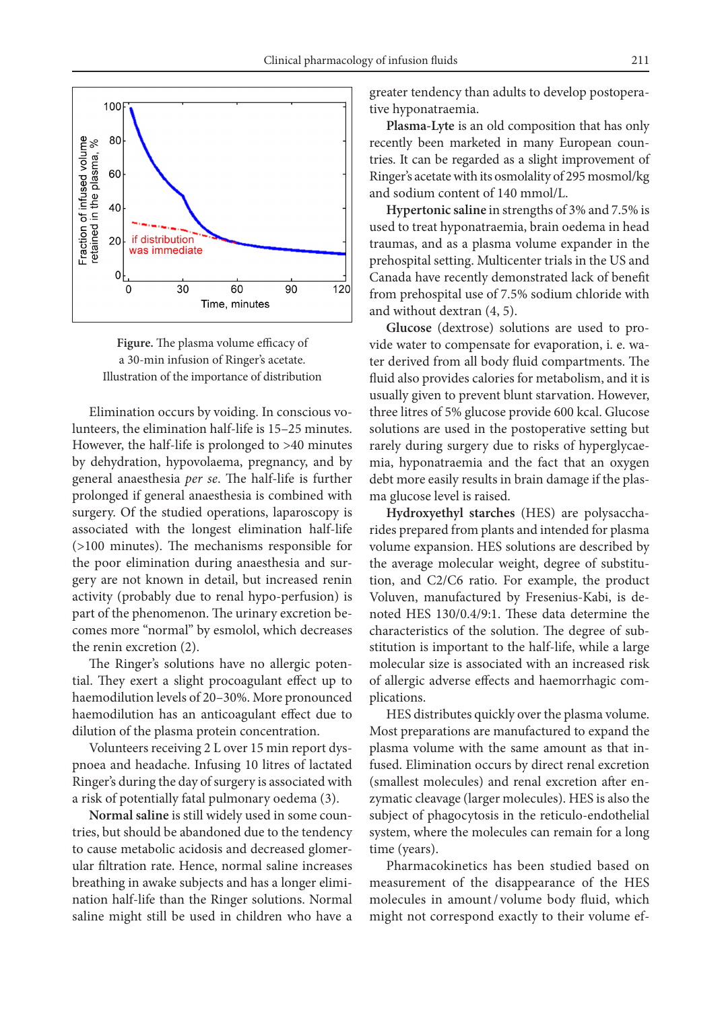

**Figure.** The plasma volume efficacy of a 30-min infusion of Ringer's acetate. Illustration of the importance of distribution

Elimination occurs by voiding. In conscious volunteers, the elimination half-life is 15–25 minutes. However, the half-life is prolonged to >40 minutes by dehydration, hypovolaema, pregnancy, and by general anaesthesia *per se*. The half-life is further prolonged if general anaesthesia is combined with surgery. Of the studied operations, laparoscopy is associated with the longest elimination half-life (>100 minutes). The mechanisms responsible for the poor elimination during anaesthesia and surgery are not known in detail, but increased renin activity (probably due to renal hypo-perfusion) is part of the phenomenon. The urinary excretion becomes more "normal" by esmolol, which decreases the renin excretion (2).

The Ringer's solutions have no allergic potential. They exert a slight procoagulant effect up to haemodilution levels of 20–30%. More pronounced haemodilution has an anticoagulant effect due to dilution of the plasma protein concentration.

Volunteers receiving 2 L over 15 min report dyspnoea and headache. Infusing 10 litres of lactated Ringer's during the day of surgery is associated with a risk of potentially fatal pulmonary oedema (3).

**Normal saline** is still widely used in some countries, but should be abandoned due to the tendency to cause metabolic acidosis and decreased glomerular filtration rate. Hence, normal saline increases breathing in awake subjects and has a longer elimination half-life than the Ringer solutions. Normal saline might still be used in children who have a greater tendency than adults to develop postoperative hyponatraemia.

**Plasma-Lyte** is an old composition that has only recently been marketed in many European countries. It can be regarded as a slight improvement of Ringer's acetate with its osmolality of 295 mosmol/kg and sodium content of 140 mmol/L.

**Hypertonic saline** in strengths of 3% and 7.5% is used to treat hyponatraemia, brain oedema in head traumas, and as a plasma volume expander in the prehospital setting. Multicenter trials in the US and Canada have recently demonstrated lack of benefit from prehospital use of 7.5% sodium chloride with and without dextran (4, 5).

**Glucose** (dextrose) solutions are used to provide water to compensate for evaporation, i. e. water derived from all body fluid compartments. The fluid also provides calories for metabolism, and it is usually given to prevent blunt starvation. However, three litres of 5% glucose provide 600 kcal. Glucose solutions are used in the postoperative setting but rarely during surgery due to risks of hyperglycaemia, hyponatraemia and the fact that an oxygen debt more easily results in brain damage if the plasma glucose level is raised.

**Hydroxyethyl starches** (HES) are polysaccharides prepared from plants and intended for plasma volume expansion. HES solutions are described by the average molecular weight, degree of substitution, and C2/C6 ratio. For example, the product Voluven, manufactured by Fresenius-Kabi, is denoted HES 130/0.4/9:1. These data determine the characteristics of the solution. The degree of substitution is important to the half-life, while a large molecular size is associated with an increased risk of allergic adverse effects and haemorrhagic complications.

HES distributes quickly over the plasma volume. Most preparations are manufactured to expand the plasma volume with the same amount as that infused. Elimination occurs by direct renal excretion (smallest molecules) and renal excretion after enzymatic cleavage (larger molecules). HES is also the subject of phagocytosis in the reticulo-endothelial system, where the molecules can remain for a long time (years).

Pharmacokinetics has been studied based on measurement of the disappearance of the HES molecules in amount/ volume body fluid, which might not correspond exactly to their volume ef